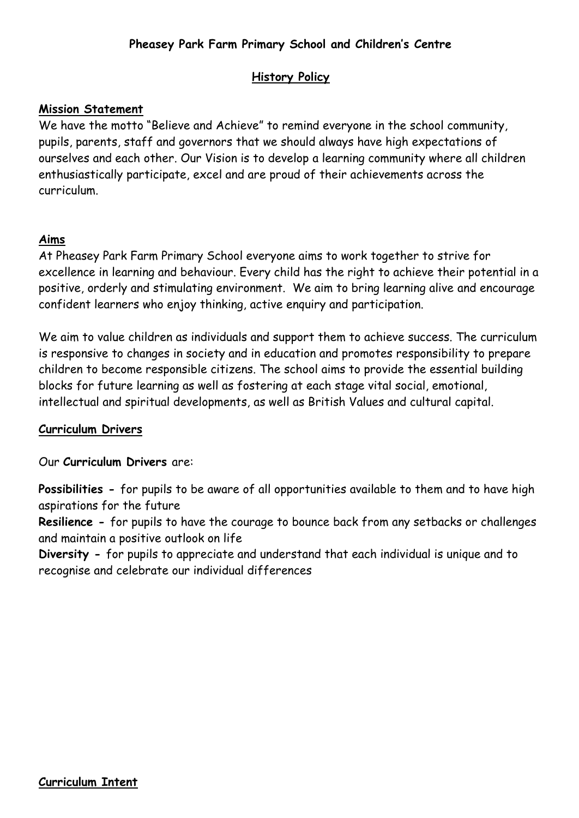## **Pheasey Park Farm Primary School and Children's Centre**

### **History Policy**

#### **Mission Statement**

We have the motto "Believe and Achieve" to remind everyone in the school community, pupils, parents, staff and governors that we should always have high expectations of ourselves and each other. Our Vision is to develop a learning community where all children enthusiastically participate, excel and are proud of their achievements across the curriculum.

#### **Aims**

At Pheasey Park Farm Primary School everyone aims to work together to strive for excellence in learning and behaviour. Every child has the right to achieve their potential in a positive, orderly and stimulating environment. We aim to bring learning alive and encourage confident learners who enjoy thinking, active enquiry and participation.

We aim to value children as individuals and support them to achieve success. The curriculum is responsive to changes in society and in education and promotes responsibility to prepare children to become responsible citizens. The school aims to provide the essential building blocks for future learning as well as fostering at each stage vital social, emotional, intellectual and spiritual developments, as well as British Values and cultural capital.

#### **Curriculum Drivers**

Our **Curriculum Drivers** are:

**Possibilities -** for pupils to be aware of all opportunities available to them and to have high aspirations for the future

**Resilience -** for pupils to have the courage to bounce back from any setbacks or challenges and maintain a positive outlook on life

**Diversity -** for pupils to appreciate and understand that each individual is unique and to recognise and celebrate our individual differences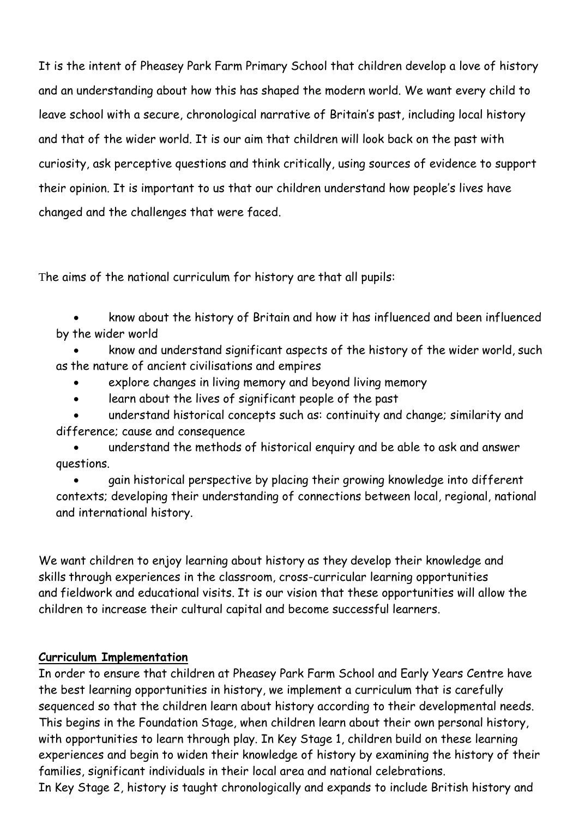It is the intent of Pheasey Park Farm Primary School that children develop a love of history and an understanding about how this has shaped the modern world. We want every child to leave school with a secure, chronological narrative of Britain's past, including local history and that of the wider world. It is our aim that children will look back on the past with curiosity, ask perceptive questions and think critically, using sources of evidence to support their opinion. It is important to us that our children understand how people's lives have changed and the challenges that were faced.

The aims of the national curriculum for history are that all pupils:

 know about the history of Britain and how it has influenced and been influenced by the wider world

 know and understand significant aspects of the history of the wider world, such as the nature of ancient civilisations and empires

- explore changes in living memory and beyond living memory
- learn about the lives of significant people of the past
- understand historical concepts such as: continuity and change; similarity and difference; cause and consequence

 understand the methods of historical enquiry and be able to ask and answer questions.

 gain historical perspective by placing their growing knowledge into different contexts; developing their understanding of connections between local, regional, national and international history.

We want children to enjoy learning about history as they develop their knowledge and skills through experiences in the classroom, cross-curricular learning opportunities and fieldwork and educational visits. It is our vision that these opportunities will allow the children to increase their cultural capital and become successful learners.

### **Curriculum Implementation**

In order to ensure that children at Pheasey Park Farm School and Early Years Centre have the best learning opportunities in history, we implement a curriculum that is carefully sequenced so that the children learn about history according to their developmental needs. This begins in the Foundation Stage, when children learn about their own personal history, with opportunities to learn through play. In Key Stage 1, children build on these learning experiences and begin to widen their knowledge of history by examining the history of their families, significant individuals in their local area and national celebrations.

In Key Stage 2, history is taught chronologically and expands to include British history and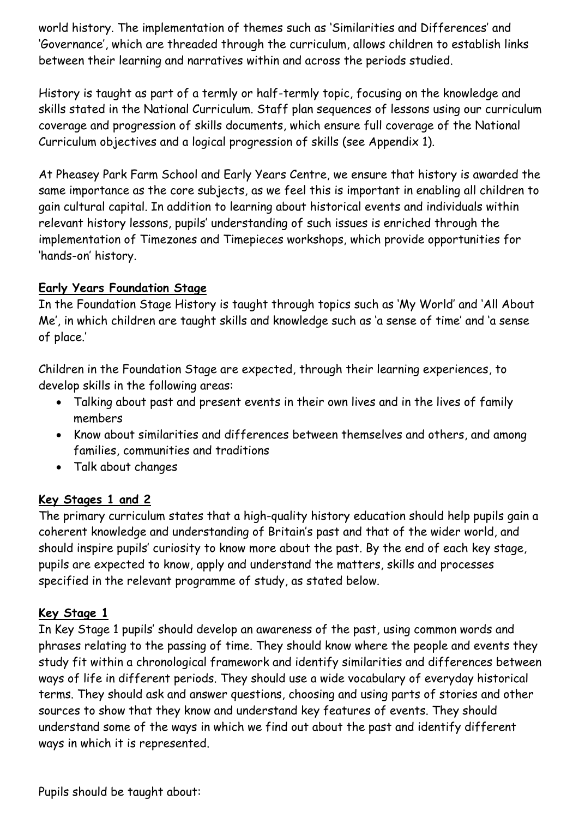world history. The implementation of themes such as 'Similarities and Differences' and 'Governance', which are threaded through the curriculum, allows children to establish links between their learning and narratives within and across the periods studied.

History is taught as part of a termly or half-termly topic, focusing on the knowledge and skills stated in the National Curriculum. Staff plan sequences of lessons using our curriculum coverage and progression of skills documents, which ensure full coverage of the National Curriculum objectives and a logical progression of skills (see Appendix 1).

At Pheasey Park Farm School and Early Years Centre, we ensure that history is awarded the same importance as the core subjects, as we feel this is important in enabling all children to gain cultural capital. In addition to learning about historical events and individuals within relevant history lessons, pupils' understanding of such issues is enriched through the implementation of Timezones and Timepieces workshops, which provide opportunities for 'hands-on' history.

## **Early Years Foundation Stage**

In the Foundation Stage History is taught through topics such as 'My World' and 'All About Me', in which children are taught skills and knowledge such as 'a sense of time' and 'a sense of place.'

Children in the Foundation Stage are expected, through their learning experiences, to develop skills in the following areas:

- Talking about past and present events in their own lives and in the lives of family members
- Know about similarities and differences between themselves and others, and among families, communities and traditions
- Talk about changes

# **Key Stages 1 and 2**

The primary curriculum states that a high-quality history education should help pupils gain a coherent knowledge and understanding of Britain's past and that of the wider world, and should inspire pupils' curiosity to know more about the past. By the end of each key stage, pupils are expected to know, apply and understand the matters, skills and processes specified in the relevant programme of study, as stated below.

# **Key Stage 1**

In Key Stage 1 pupils' should develop an awareness of the past, using common words and phrases relating to the passing of time. They should know where the people and events they study fit within a chronological framework and identify similarities and differences between ways of life in different periods. They should use a wide vocabulary of everyday historical terms. They should ask and answer questions, choosing and using parts of stories and other sources to show that they know and understand key features of events. They should understand some of the ways in which we find out about the past and identify different ways in which it is represented.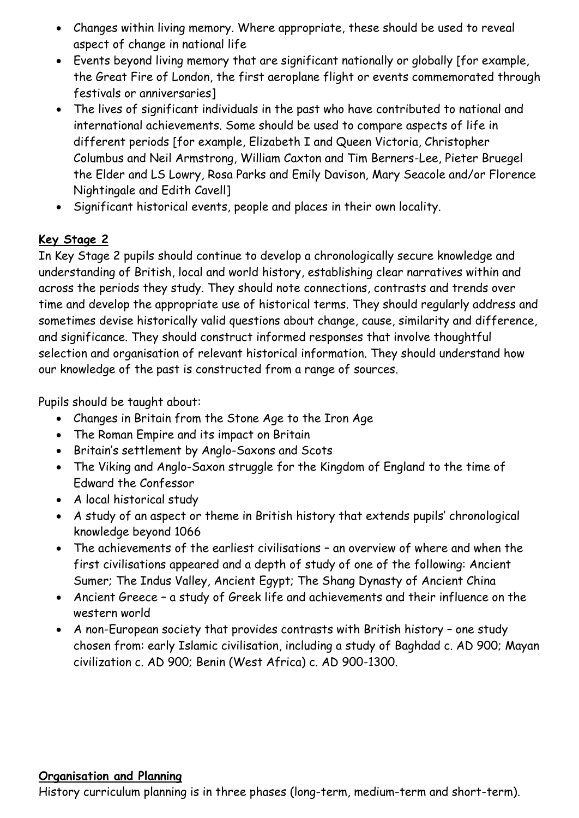- Changes within living memory. Where appropriate, these should be used to reveal aspect of change in national life
- Events beyond living memory that are significant nationally or globally [for example, the Great Fire of London, the first aeroplane flight or events commemorated through festivals or anniversaries]
- The lives of significant individuals in the past who have contributed to national and international achievements. Some should be used to compare aspects of life in different periods [for example, Elizabeth I and Queen Victoria, Christopher Columbus and Neil Armstrong, William Caxton and Tim Berners-Lee, Pieter Bruegel the Elder and LS Lowry, Rosa Parks and Emily Davison, Mary Seacole and/or Florence Nightingale and Edith Cavell]
- Significant historical events, people and places in their own locality.

# **Key Stage 2**

In Key Stage 2 pupils should continue to develop a chronologically secure knowledge and understanding of British, local and world history, establishing clear narratives within and across the periods they study. They should note connections, contrasts and trends over time and develop the appropriate use of historical terms. They should regularly address and sometimes devise historically valid questions about change, cause, similarity and difference, and significance. They should construct informed responses that involve thoughtful selection and organisation of relevant historical information. They should understand how our knowledge of the past is constructed from a range of sources.

Pupils should be taught about:

- Changes in Britain from the Stone Age to the Iron Age
- The Roman Empire and its impact on Britain
- Britain's settlement by Anglo-Saxons and Scots
- The Viking and Anglo-Saxon struggle for the Kingdom of England to the time of Edward the Confessor
- A local historical study
- A study of an aspect or theme in British history that extends pupils' chronological knowledge beyond 1066
- The achievements of the earliest civilisations an overview of where and when the first civilisations appeared and a depth of study of one of the following: Ancient Sumer; The Indus Valley, Ancient Egypt; The Shang Dynasty of Ancient China
- Ancient Greece a study of Greek life and achievements and their influence on the western world
- A non-European society that provides contrasts with British history one study chosen from: early Islamic civilisation, including a study of Baghdad c. AD 900; Mayan civilization c. AD 900; Benin (West Africa) c. AD 900-1300.

#### **Organisation and Planning**

History curriculum planning is in three phases (long-term, medium-term and short-term).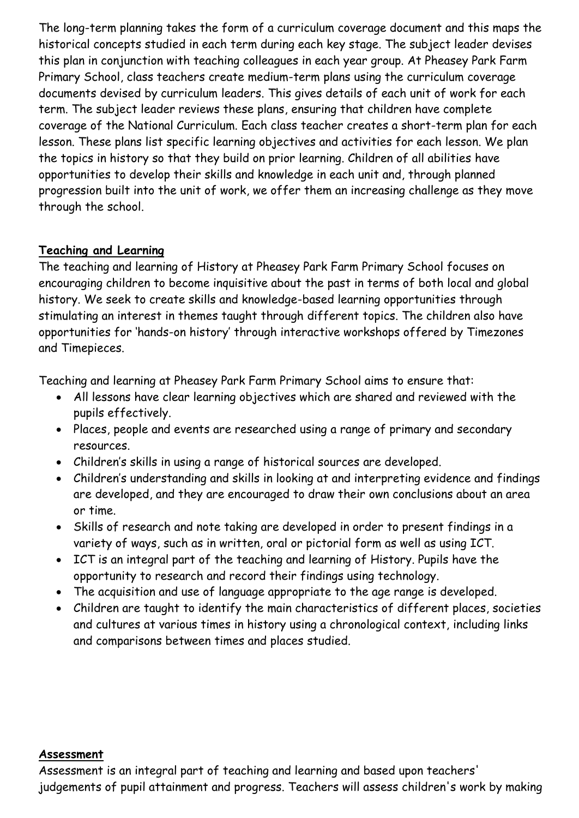The long-term planning takes the form of a curriculum coverage document and this maps the historical concepts studied in each term during each key stage. The subject leader devises this plan in conjunction with teaching colleagues in each year group. At Pheasey Park Farm Primary School, class teachers create medium-term plans using the curriculum coverage documents devised by curriculum leaders. This gives details of each unit of work for each term. The subject leader reviews these plans, ensuring that children have complete coverage of the National Curriculum. Each class teacher creates a short-term plan for each lesson. These plans list specific learning objectives and activities for each lesson. We plan the topics in history so that they build on prior learning. Children of all abilities have opportunities to develop their skills and knowledge in each unit and, through planned progression built into the unit of work, we offer them an increasing challenge as they move through the school.

### **Teaching and Learning**

The teaching and learning of History at Pheasey Park Farm Primary School focuses on encouraging children to become inquisitive about the past in terms of both local and global history. We seek to create skills and knowledge-based learning opportunities through stimulating an interest in themes taught through different topics. The children also have opportunities for 'hands-on history' through interactive workshops offered by Timezones and Timepieces.

Teaching and learning at Pheasey Park Farm Primary School aims to ensure that:

- All lessons have clear learning objectives which are shared and reviewed with the pupils effectively.
- Places, people and events are researched using a range of primary and secondary resources.
- Children's skills in using a range of historical sources are developed.
- Children's understanding and skills in looking at and interpreting evidence and findings are developed, and they are encouraged to draw their own conclusions about an area or time.
- Skills of research and note taking are developed in order to present findings in a variety of ways, such as in written, oral or pictorial form as well as using ICT.
- ICT is an integral part of the teaching and learning of History. Pupils have the opportunity to research and record their findings using technology.
- The acquisition and use of language appropriate to the age range is developed.
- Children are taught to identify the main characteristics of different places, societies and cultures at various times in history using a chronological context, including links and comparisons between times and places studied.

#### **Assessment**

Assessment is an integral part of teaching and learning and based upon teachers' judgements of pupil attainment and progress. Teachers will assess children's work by making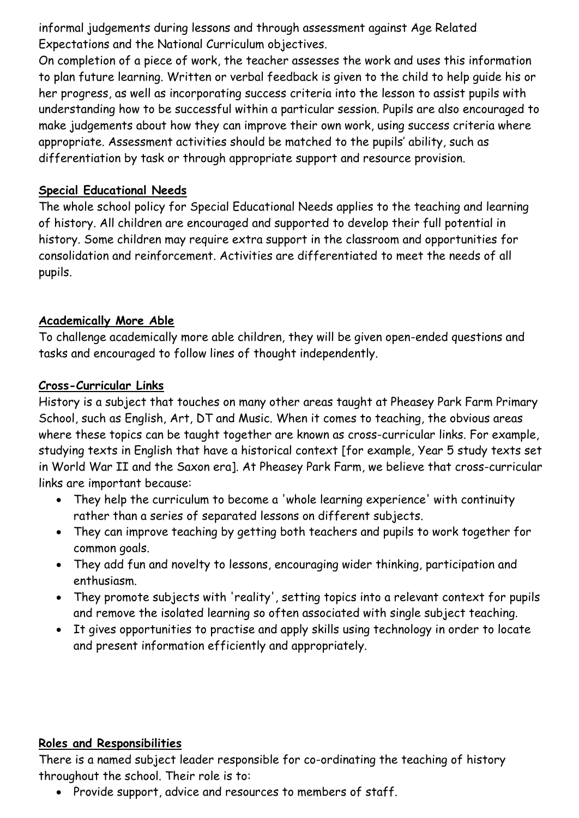informal judgements during lessons and through assessment against Age Related Expectations and the National Curriculum objectives.

On completion of a piece of work, the teacher assesses the work and uses this information to plan future learning. Written or verbal feedback is given to the child to help guide his or her progress, as well as incorporating success criteria into the lesson to assist pupils with understanding how to be successful within a particular session. Pupils are also encouraged to make judgements about how they can improve their own work, using success criteria where appropriate. Assessment activities should be matched to the pupils' ability, such as differentiation by task or through appropriate support and resource provision.

## **Special Educational Needs**

The whole school policy for Special Educational Needs applies to the teaching and learning of history. All children are encouraged and supported to develop their full potential in history. Some children may require extra support in the classroom and opportunities for consolidation and reinforcement. Activities are differentiated to meet the needs of all pupils.

# **Academically More Able**

To challenge academically more able children, they will be given open-ended questions and tasks and encouraged to follow lines of thought independently.

## **Cross-Curricular Links**

History is a subject that touches on many other areas taught at Pheasey Park Farm Primary School, such as English, Art, DT and Music. When it comes to teaching, the obvious areas where these topics can be taught together are known as cross-curricular links. For example, studying texts in English that have a historical context [for example, Year 5 study texts set in World War II and the Saxon era]. At Pheasey Park Farm, we believe that cross-curricular links are important because:

- They help the curriculum to become a 'whole learning experience' with continuity rather than a series of separated lessons on different subjects.
- They can improve teaching by getting both teachers and pupils to work together for common goals.
- They add fun and novelty to lessons, encouraging wider thinking, participation and enthusiasm.
- They promote subjects with 'reality', setting topics into a relevant context for pupils and remove the isolated learning so often associated with single subject teaching.
- It gives opportunities to practise and apply skills using technology in order to locate and present information efficiently and appropriately.

### **Roles and Responsibilities**

There is a named subject leader responsible for co-ordinating the teaching of history throughout the school. Their role is to:

Provide support, advice and resources to members of staff.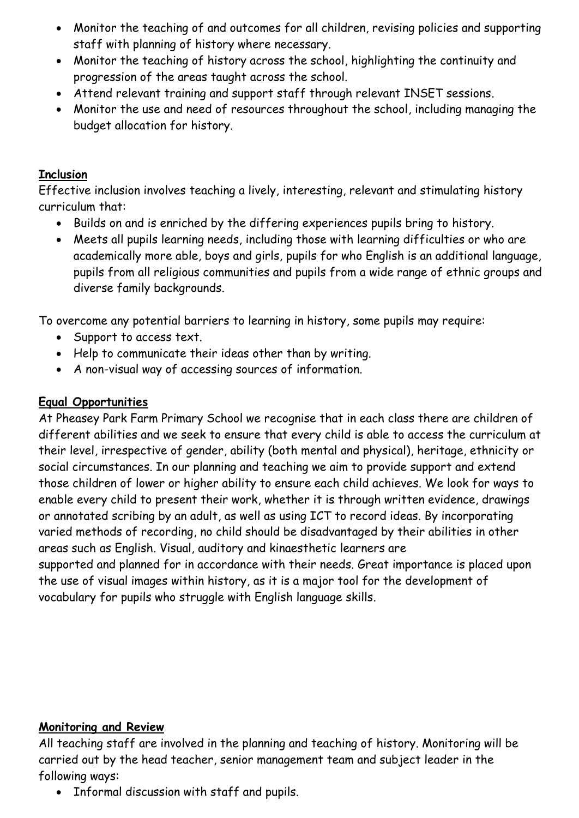- Monitor the teaching of and outcomes for all children, revising policies and supporting staff with planning of history where necessary.
- Monitor the teaching of history across the school, highlighting the continuity and progression of the areas taught across the school.
- Attend relevant training and support staff through relevant INSET sessions.
- Monitor the use and need of resources throughout the school, including managing the budget allocation for history.

## **Inclusion**

Effective inclusion involves teaching a lively, interesting, relevant and stimulating history curriculum that:

- Builds on and is enriched by the differing experiences pupils bring to history.
- Meets all pupils learning needs, including those with learning difficulties or who are academically more able, boys and girls, pupils for who English is an additional language, pupils from all religious communities and pupils from a wide range of ethnic groups and diverse family backgrounds.

To overcome any potential barriers to learning in history, some pupils may require:

- Support to access text.
- Help to communicate their ideas other than by writing.
- A non-visual way of accessing sources of information.

## **Equal Opportunities**

At Pheasey Park Farm Primary School we recognise that in each class there are children of different abilities and we seek to ensure that every child is able to access the curriculum at their level, irrespective of gender, ability (both mental and physical), heritage, ethnicity or social circumstances. In our planning and teaching we aim to provide support and extend those children of lower or higher ability to ensure each child achieves. We look for ways to enable every child to present their work, whether it is through written evidence, drawings or annotated scribing by an adult, as well as using ICT to record ideas. By incorporating varied methods of recording, no child should be disadvantaged by their abilities in other areas such as English. Visual, auditory and kinaesthetic learners are supported and planned for in accordance with their needs. Great importance is placed upon the use of visual images within history, as it is a major tool for the development of vocabulary for pupils who struggle with English language skills.

# **Monitoring and Review**

All teaching staff are involved in the planning and teaching of history. Monitoring will be carried out by the head teacher, senior management team and subject leader in the following ways:

• Informal discussion with staff and pupils.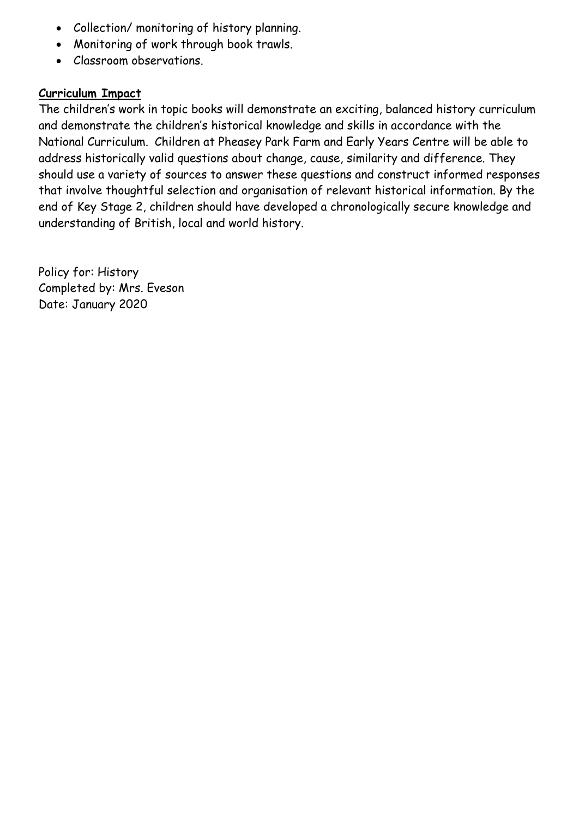- Collection/ monitoring of history planning.
- Monitoring of work through book trawls.
- Classroom observations.

#### **Curriculum Impact**

The children's work in topic books will demonstrate an exciting, balanced history curriculum and demonstrate the children's historical knowledge and skills in accordance with the National Curriculum. Children at Pheasey Park Farm and Early Years Centre will be able to address historically valid questions about change, cause, similarity and difference. They should use a variety of sources to answer these questions and construct informed responses that involve thoughtful selection and organisation of relevant historical information. By the end of Key Stage 2, children should have developed a chronologically secure knowledge and understanding of British, local and world history.

Policy for: History Completed by: Mrs. Eveson Date: January 2020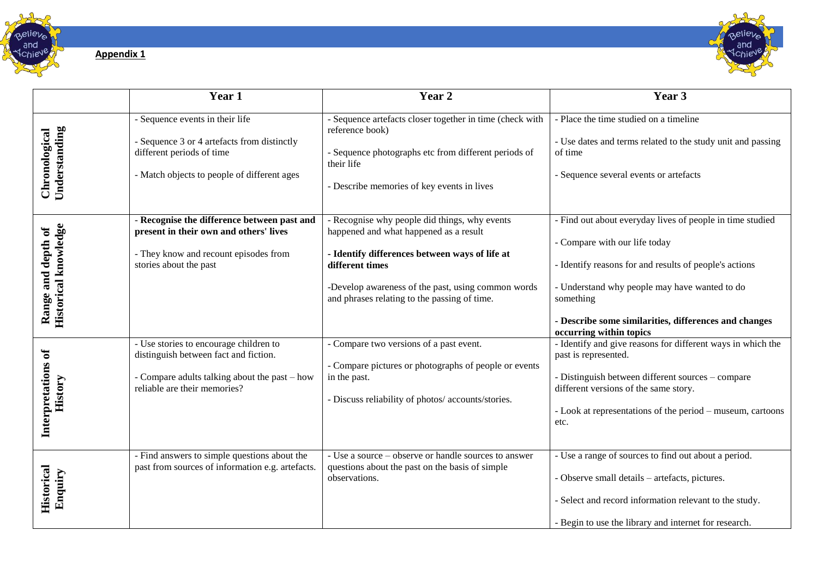



|                                                   | Year 1                                                                                                                                                           | Year 2                                                                                                                                                                                                                                                           | Year 3                                                                                                                                                                                                                                                                                                 |
|---------------------------------------------------|------------------------------------------------------------------------------------------------------------------------------------------------------------------|------------------------------------------------------------------------------------------------------------------------------------------------------------------------------------------------------------------------------------------------------------------|--------------------------------------------------------------------------------------------------------------------------------------------------------------------------------------------------------------------------------------------------------------------------------------------------------|
| Understanding<br>Chronological                    | - Sequence events in their life<br>- Sequence 3 or 4 artefacts from distinctly<br>different periods of time<br>- Match objects to people of different ages       | - Sequence artefacts closer together in time (check with<br>reference book)<br>- Sequence photographs etc from different periods of<br>their life<br>- Describe memories of key events in lives                                                                  | - Place the time studied on a timeline<br>- Use dates and terms related to the study unit and passing<br>of time<br>- Sequence several events or artefacts                                                                                                                                             |
| <b>Historical knowledge</b><br>Range and depth of | Recognise the difference between past and<br>present in their own and others' lives<br>- They know and recount episodes from<br>stories about the past           | Recognise why people did things, why events<br>happened and what happened as a result<br>- Identify differences between ways of life at<br>different times<br>-Develop awareness of the past, using common words<br>and phrases relating to the passing of time. | - Find out about everyday lives of people in time studied<br>- Compare with our life today<br>- Identify reasons for and results of people's actions<br>- Understand why people may have wanted to do<br>something<br>- Describe some similarities, differences and changes<br>occurring within topics |
| Interpretations of<br>History                     | - Use stories to encourage children to<br>distinguish between fact and fiction.<br>- Compare adults talking about the past - how<br>reliable are their memories? | - Compare two versions of a past event.<br>- Compare pictures or photographs of people or events<br>in the past.<br>- Discuss reliability of photos/ accounts/stories.                                                                                           | - Identify and give reasons for different ways in which the<br>past is represented.<br>- Distinguish between different sources - compare<br>different versions of the same story.<br>- Look at representations of the period – museum, cartoons<br>etc.                                                |
| <b>Historical</b><br>Enquiry                      | - Find answers to simple questions about the<br>past from sources of information e.g. artefacts.                                                                 | - Use a source – observe or handle sources to answer<br>questions about the past on the basis of simple<br>observations.                                                                                                                                         | - Use a range of sources to find out about a period.<br>- Observe small details - artefacts, pictures.<br>- Select and record information relevant to the study.<br>- Begin to use the library and internet for research.                                                                              |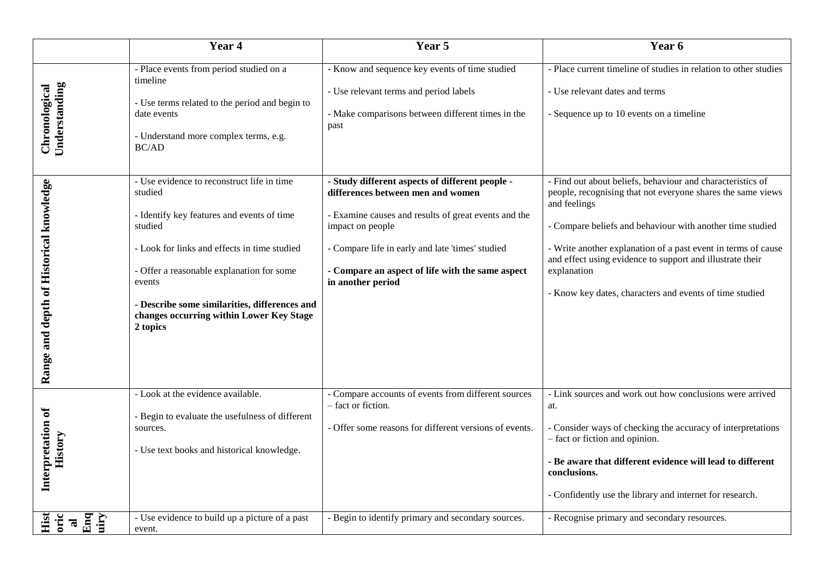|                                           | Year <sub>4</sub>                                                                                                                                                                                                                                                                                                              | Year 5                                                                                                                                                                                                                                                                                        | Year 6                                                                                                                                                                                                                                                                                                                                                                                                         |
|-------------------------------------------|--------------------------------------------------------------------------------------------------------------------------------------------------------------------------------------------------------------------------------------------------------------------------------------------------------------------------------|-----------------------------------------------------------------------------------------------------------------------------------------------------------------------------------------------------------------------------------------------------------------------------------------------|----------------------------------------------------------------------------------------------------------------------------------------------------------------------------------------------------------------------------------------------------------------------------------------------------------------------------------------------------------------------------------------------------------------|
| Understanding<br>Chronological            | - Place events from period studied on a<br>timeline<br>- Use terms related to the period and begin to<br>date events<br>- Understand more complex terms, e.g.<br><b>BC/AD</b>                                                                                                                                                  | - Know and sequence key events of time studied<br>- Use relevant terms and period labels<br>- Make comparisons between different times in the<br>past                                                                                                                                         | - Place current timeline of studies in relation to other studies<br>- Use relevant dates and terms<br>- Sequence up to 10 events on a timeline                                                                                                                                                                                                                                                                 |
| Range and depth of Historical knowledge   | - Use evidence to reconstruct life in time<br>studied<br>- Identify key features and events of time<br>studied<br>- Look for links and effects in time studied<br>- Offer a reasonable explanation for some<br>events<br>- Describe some similarities, differences and<br>changes occurring within Lower Key Stage<br>2 topics | - Study different aspects of different people -<br>differences between men and women<br>- Examine causes and results of great events and the<br>impact on people<br>- Compare life in early and late 'times' studied<br>- Compare an aspect of life with the same aspect<br>in another period | - Find out about beliefs, behaviour and characteristics of<br>people, recognising that not everyone shares the same views<br>and feelings<br>- Compare beliefs and behaviour with another time studied<br>- Write another explanation of a past event in terms of cause<br>and effect using evidence to support and illustrate their<br>explanation<br>- Know key dates, characters and events of time studied |
| Interpretation of<br>History              | - Look at the evidence available.<br>- Begin to evaluate the usefulness of different<br>sources.<br>- Use text books and historical knowledge.                                                                                                                                                                                 | - Compare accounts of events from different sources<br>- fact or fiction.<br>- Offer some reasons for different versions of events.                                                                                                                                                           | - Link sources and work out how conclusions were arrived<br>at.<br>- Consider ways of checking the accuracy of interpretations<br>- fact or fiction and opinion.<br>- Be aware that different evidence will lead to different<br>conclusions.<br>- Confidently use the library and internet for research.                                                                                                      |
| uiry<br>Viiu<br>Hist<br>Enq<br>oric<br>al | - Use evidence to build up a picture of a past<br>event.                                                                                                                                                                                                                                                                       | - Begin to identify primary and secondary sources.                                                                                                                                                                                                                                            | - Recognise primary and secondary resources.                                                                                                                                                                                                                                                                                                                                                                   |